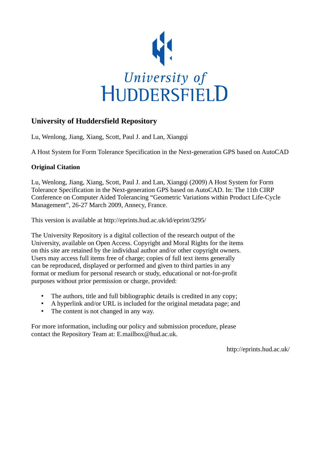

# **University of Huddersfield Repository**

Lu, Wenlong, Jiang, Xiang, Scott, Paul J. and Lan, Xiangqi

A Host System for Form Tolerance Specification in the Next-generation GPS based on AutoCAD

## **Original Citation**

Lu, Wenlong, Jiang, Xiang, Scott, Paul J. and Lan, Xiangqi (2009) A Host System for Form Tolerance Specification in the Next-generation GPS based on AutoCAD. In: The 11th CIRP Conference on Computer Aided Tolerancing "Geometric Variations within Product Life-Cycle Management", 26-27 March 2009, Annecy, France.

This version is available at http://eprints.hud.ac.uk/id/eprint/3295/

The University Repository is a digital collection of the research output of the University, available on Open Access. Copyright and Moral Rights for the items on this site are retained by the individual author and/or other copyright owners. Users may access full items free of charge; copies of full text items generally can be reproduced, displayed or performed and given to third parties in any format or medium for personal research or study, educational or not-for-profit purposes without prior permission or charge, provided:

- The authors, title and full bibliographic details is credited in any copy;
- A hyperlink and/or URL is included for the original metadata page; and
- The content is not changed in any way.

For more information, including our policy and submission procedure, please contact the Repository Team at: E.mailbox@hud.ac.uk.

http://eprints.hud.ac.uk/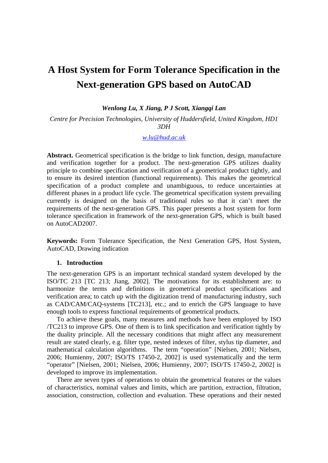# **A Host System for Form Tolerance Specification in the Next-generation GPS based on AutoCAD**

*Wenlong Lu, X Jiang, P J Scott, Xiangqi Lan*

*Centre for Precision Technologies, University of Huddersfield, United Kingdom, HD1 3DH* 

*w.lu@hud.ac.uk*

**Abstract.** Geometrical specification is the bridge to link function, design, manufacture and verification together for a product. The next-generation GPS utilizes duality principle to combine specification and verification of a geometrical product tightly, and to ensure its desired intention (functional requirements). This makes the geometrical specification of a product complete and unambiguous, to reduce uncertainties at different phases in a product life cycle. The geometrical specification system prevailing currently is designed on the basis of traditional rules so that it can't meet the requirements of the next-generation GPS. This paper presents a host system for form tolerance specification in framework of the next-generation GPS, which is built based on AutoCAD2007.

**Keywords:** Form Tolerance Specification, the Next Generation GPS, Host System, AutoCAD, Drawing indication

#### **1. Introduction**

The next-generation GPS is an important technical standard system developed by the ISO/TC 213 [TC 213; Jiang, 2002]. The motivations for its establishment are: to harmonize the terms and definitions in geometrical product specifications and verification area; to catch up with the digitization trend of manufacturing industry, such as CAD/CAM/CAQ-systems [TC213], etc.; and to enrich the GPS language to have enough tools to express functional requirements of geometrical products.

 To achieve these goals, many measures and methods have been employed by ISO /TC213 to improve GPS. One of them is to link specification and verification tightly by the duality principle. All the necessary conditions that might affect any measurement result are stated clearly, e.g. filter type, nested indexes of filter, stylus tip diameter, and mathematical calculation algorithms. The term "operation" [Nielsen, 2001; Nielsen, 2006; Humienny, 2007; ISO/TS 17450-2, 2002] is used systematically and the term "operator" [Nielsen, 2001; Nielsen, 2006; Humienny, 2007; ISO/TS 17450-2, 2002] is developed to improve its implementation.

 There are seven types of operations to obtain the geometrical features or the values of characteristics, nominal values and limits, which are partition, extraction, filtration, association, construction, collection and evaluation. These operations and their nested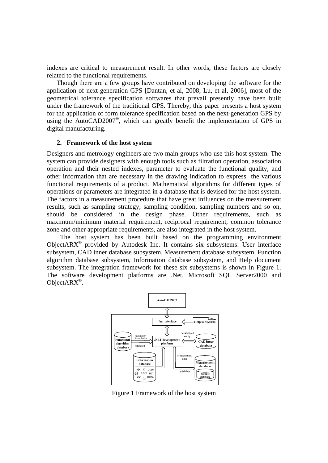indexes are critical to measurement result. In other words, these factors are closely related to the functional requirements.

 Though there are a few groups have contributed on developing the software for the application of next-generation GPS [Dantan, et al, 2008; Lu, et al, 2006], most of the geometrical tolerance specification softwares that prevail presently have been built under the framework of the traditional GPS. Thereby, this paper presents a host system for the application of form tolerance specification based on the next-generation GPS by using the AutoCAD2007**®**, which can greatly benefit the implementation of GPS in digital manufacturing.

#### **2. Framework of the host system**

Designers and metrology engineers are two main groups who use this host system. The system can provide designers with enough tools such as filtration operation, association operation and their nested indexes, parameter to evaluate the functional quality, and other information that are necessary in the drawing indication to express the various functional requirements of a product. Mathematical algorithms for different types of operations or parameters are integrated in a database that is devised for the host system. The factors in a measurement procedure that have great influences on the measurement results, such as sampling strategy, sampling condition, sampling numbers and so on, should be considered in the design phase. Other requirements, such as maximum/minimum material requirement, reciprocal requirement, common tolerance zone and other appropriate requirements, are also integrated in the host system.

 The host system has been built based on the programming environment ObjectAR $X^{\circledR}$  provided by Autodesk Inc. It contains six subsystems: User interface subsystem, CAD inner database subsystem, Measurement database subsystem, Function algorithm database subsystem, Information database subsystem, and Help document subsystem. The integration framework for these six subsystems is shown in Figure 1. The software development platforms are .Net, Microsoft SQL Server2000 and ObjectARX®.



Figure 1 Framework of the host system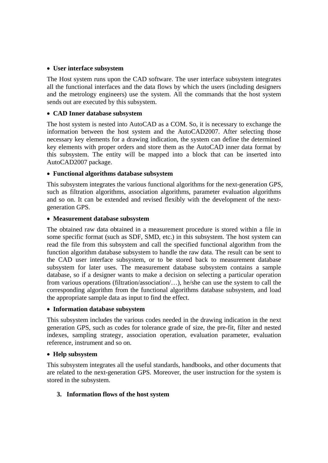#### **User interface subsystem**

The Host system runs upon the CAD software. The user interface subsystem integrates all the functional interfaces and the data flows by which the users (including designers and the metrology engineers) use the system. All the commands that the host system sends out are executed by this subsystem.

#### **CAD Inner database subsystem**

The host system is nested into AutoCAD as a COM. So, it is necessary to exchange the information between the host system and the AutoCAD2007. After selecting those necessary key elements for a drawing indication, the system can define the determined key elements with proper orders and store them as the AutoCAD inner data format by this subsystem. The entity will be mapped into a block that can be inserted into AutoCAD2007 package.

#### **Functional algorithms database subsystem**

This subsystem integrates the various functional algorithms for the next-generation GPS, such as filtration algorithms, association algorithms, parameter evaluation algorithms and so on. It can be extended and revised flexibly with the development of the nextgeneration GPS.

#### **Measurement database subsystem**

The obtained raw data obtained in a measurement procedure is stored within a file in some specific format (such as SDF, SMD, etc.) in this subsystem. The host system can read the file from this subsystem and call the specified functional algorithm from the function algorithm database subsystem to handle the raw data. The result can be sent to the CAD user interface subsystem, or to be stored back to measurement database subsystem for later uses. The measurement database subsystem contains a sample database, so if a designer wants to make a decision on selecting a particular operation from various operations (filtration/association/…), he/she can use the system to call the corresponding algorithm from the functional algorithms database subsystem, and load the appropriate sample data as input to find the effect.

#### **Information database subsystem**

This subsystem includes the various codes needed in the drawing indication in the next generation GPS, such as codes for tolerance grade of size, the pre-fit, filter and nested indexes, sampling strategy, association operation, evaluation parameter, evaluation reference, instrument and so on.

#### **Help subsystem**

This subsystem integrates all the useful standards, handbooks, and other documents that are related to the next-generation GPS. Moreover, the user instruction for the system is stored in the subsystem.

## **3. Information flows of the host system**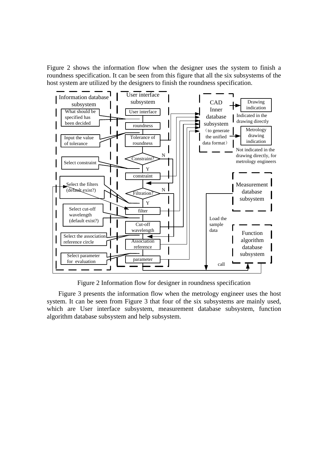Figure 2 shows the information flow when the designer uses the system to finish a roundness specification. It can be seen from this figure that all the six subsystems of the host system are utilized by the designers to finish the roundness specification.



Figure 2 Information flow for designer in roundness specification

 Figure 3 presents the information flow when the metrology engineer uses the host system. It can be seen from Figure 3 that four of the six subsystems are mainly used, which are User interface subsystem, measurement database subsystem, function algorithm database subsystem and help subsystem.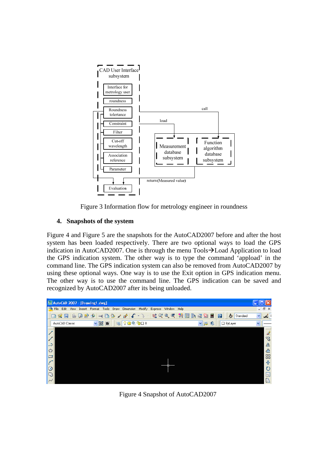

Figure 3 Information flow for metrology engineer in roundness

# **4. Snapshots of the system**

Figure 4 and Figure 5 are the snapshots for the AutoCAD2007 before and after the host system has been loaded respectively. There are two optional ways to load the GPS indication in AutoCAD2007. One is through the menu  $Tools \rightarrow Load$  Application to load the GPS indication system. The other way is to type the command 'appload' in the command line. The GPS indication system can also be removed from AutoCAD2007 by using these optional ways. One way is to use the Exit option in GPS indication menu. The other way is to use the command line. The GPS indication can be saved and recognized by AutoCAD2007 after its being unloaded.



Figure 4 Snapshot of AutoCAD2007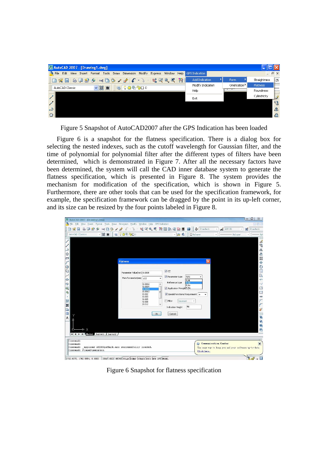| AutoCAD 2007 - [Drawing1.dwg] |                          |                              |                |                |                       |                             | е                |               |
|-------------------------------|--------------------------|------------------------------|----------------|----------------|-----------------------|-----------------------------|------------------|---------------|
| File<br>Edit                  | View Insert Format Tools | Draw Dimension               | Modify Express | Window<br>Help | <b>GPS Indication</b> |                             | $ \Box$ $\times$ |               |
| <b>DKH</b>                    |                          |                              |                |                | Add Indication        | Form                        | Straightness     | $-25$         |
| AutoCAD Classic               | ▼國會                      | $90$ <sup>o</sup> $900$<br>送 |                |                | Modify Indication     | Orientation <sup>&gt;</sup> | Flatness         |               |
|                               |                          |                              |                |                | Help                  | <b>Party Service</b>        | <b>Roundness</b> |               |
|                               |                          |                              |                |                | Exit                  |                             | Cylindricity     | $\mathscr{A}$ |
|                               |                          |                              |                |                |                       |                             |                  | ್ಯಾ           |
| شہ                            |                          |                              |                |                |                       |                             |                  | $\Delta$      |
|                               |                          |                              |                |                |                       |                             |                  | ₾             |

Figure 5 Snapshot of AutoCAD2007 after the GPS Indication has been loaded

 Figure 6 is a snapshot for the flatness specification. There is a dialog box for selecting the nested indexes, such as the cutoff wavelength for Gaussian filter, and the time of polynomial for polynomial filter after the different types of filters have been determined, which is demonstrated in Figure 7. After all the necessary factors have been determined, the system will call the CAD inner database system to generate the flatness specification, which is presented in Figure 8. The system provides the mechanism for modification of the specification, which is shown in Figure 5. Furthermore, there are other tools that can be used for the specification framework, for example, the specification framework can be dragged by the point in its up-left corner, and its size can be resized by the four points labeled in Figure 8.

| AutoCAD 2007 - [Drawing1.dwg]                                                                                                                 |                                                                                                                                                                           |                                                                                                                                                                                                                                                                                                                                                                                                                         | $\Box$<br>$\Sigma$                                                                                                                                                                                                                     |
|-----------------------------------------------------------------------------------------------------------------------------------------------|---------------------------------------------------------------------------------------------------------------------------------------------------------------------------|-------------------------------------------------------------------------------------------------------------------------------------------------------------------------------------------------------------------------------------------------------------------------------------------------------------------------------------------------------------------------------------------------------------------------|----------------------------------------------------------------------------------------------------------------------------------------------------------------------------------------------------------------------------------------|
| The Edit View Insert Format Tools Draw Dimension Modify Window Help GPS Indication                                                            |                                                                                                                                                                           |                                                                                                                                                                                                                                                                                                                                                                                                                         | E N X                                                                                                                                                                                                                                  |
| DKH                                                                                                                                           |                                                                                                                                                                           | $\texttt{a} \boxdot \texttt{a} \texttt{a} \texttt{b} \texttt{b} \texttt{c} \texttt{b} \texttt{c} \texttt{b} \texttt{c} \texttt{b} \texttt{c} \texttt{c} \texttt{c} \texttt{c} \texttt{b} \texttt{c} \texttt{b} \texttt{c} \texttt{b} \texttt{c} \texttt{b} \texttt{c} \texttt{b} \texttt{c} \texttt{b} \texttt{c} \texttt{b} \texttt{c} \texttt{b} \texttt{c} \texttt{c} \texttt{b} \texttt{c} \texttt{c} \texttt{c} \$ | $\frac{2}{\sqrt{2}}$ ISO-25<br>Standard                                                                                                                                                                                                |
| AutoCAD Classic                                                                                                                               |                                                                                                                                                                           | $-36$<br>□ ByLayer                                                                                                                                                                                                                                                                                                                                                                                                      | - ByLayer<br>- ByI                                                                                                                                                                                                                     |
| ج<br>Ó<br>□<br>⊙<br>$\mathbb{C}$<br>$\sim$<br>$\circ$<br>ာ<br>5<br>马<br>٠<br>Ħ<br>Ħ<br>$\circ$<br>圃<br>А<br>$\rightarrow$ X<br>D-<br>Command: | <b>Flatness</b><br>Parameter Value(mm) 0.0008<br>Main Parameter(mm) ≤10<br>0.0002<br>0.0004<br>0.0008<br>0.0012<br>0.002<br>0.003<br>0.005<br>0.008<br>0.012<br><b>Ok</b> | V <sub>c</sub><br>Parameter type<br>PLNt<br><b>PLNt</b><br>Reference type<br>PI Nn<br>PLN <sub>V</sub><br>Application PrinciplePLNq<br>V Special Functional Requirement +<br>Filter<br>Gaussian<br>÷<br>50<br>Indication Height<br>Cancel                                                                                                                                                                               | $\overline{a}$<br>್ಯಾ<br>$\Delta$<br>$\triangleq$<br>88<br>$\ddot{}$<br>$\circ$<br>$\overline{\mathbf{a}}$<br>$\mathbb{D}$<br>$-$<br>$-$ /<br>$\Box$<br>$\Box$<br>$+$<br>$\sqrt{}$<br>$\sqrt{}$<br>$\frac{1}{\sqrt{2}}$<br>陆<br>u<br>G |
| Command:<br>Command: appload ASDKGpsMark.arx successfully loaded.<br>Command: PlaneDimension                                                  |                                                                                                                                                                           | Click here.                                                                                                                                                                                                                                                                                                                                                                                                             | (i) Communication Center<br>$\overline{\mathbf{x}}$<br>The easy way to keep you and your software up-to-date.                                                                                                                          |
|                                                                                                                                               |                                                                                                                                                                           |                                                                                                                                                                                                                                                                                                                                                                                                                         |                                                                                                                                                                                                                                        |
| 1702 8075 1762 5654 0 0000                                                                                                                    | SWAP GRID ORTHOLOGIAE OSWAE OTRACK DUCS DVN 18T MODEL                                                                                                                     |                                                                                                                                                                                                                                                                                                                                                                                                                         | $\sqrt{2}$                                                                                                                                                                                                                             |

Figure 6 Snapshot for flatness specification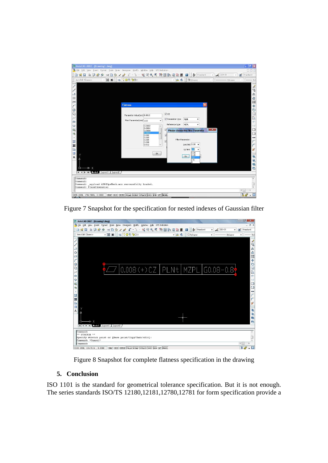| AutoCAD 2007 - [Drawing1.dwg]                                                                                                                                                                    |                                                                                                                                                                                    |                                                                                                                                                                                                                                                                                           | $  \sigma $ $\times$                                                                                                                                                                                      |
|--------------------------------------------------------------------------------------------------------------------------------------------------------------------------------------------------|------------------------------------------------------------------------------------------------------------------------------------------------------------------------------------|-------------------------------------------------------------------------------------------------------------------------------------------------------------------------------------------------------------------------------------------------------------------------------------------|-----------------------------------------------------------------------------------------------------------------------------------------------------------------------------------------------------------|
| File Edit View Insert Format Tools Draw Dimension Modify Window Help GPS Indication                                                                                                              |                                                                                                                                                                                    |                                                                                                                                                                                                                                                                                           | 口同区                                                                                                                                                                                                       |
| 国民民                                                                                                                                                                                              |                                                                                                                                                                                    |                                                                                                                                                                                                                                                                                           | $\frac{2}{\sqrt{2}}$ ISO-25<br>Standard                                                                                                                                                                   |
| <b>NK &amp; COOOO</b><br>AutoCAD Classic<br>v                                                                                                                                                    |                                                                                                                                                                                    | 一路卷<br><b>D</b> ByLayer                                                                                                                                                                                                                                                                   | - ByLayer<br>$- ByI$                                                                                                                                                                                      |
| Ó<br>Π<br>$\odot$<br>C<br>$\sim$<br>$\circ$<br>$\Omega$<br>4<br>马<br>尊其<br>$\circ$<br>Œ<br>Y<br>A<br>4<br>$\triangleright$ X<br>o<br><b>Example 1 &amp; Fooded &amp; Layout1 &amp; Layout2 /</b> | <b>Flatness</b><br>Parameter Value(mm) 0.0012<br>Main Parameter(mm) ≤10<br>0.0002<br>×<br>0.0004<br>0.0008<br>0.0012<br>0.002<br>0.003<br>0.005<br>0.008<br>0.012<br>$\mathsf{Ok}$ | V <sub>C</sub><br>Parameter type<br><b>PLNt</b><br>Reference type<br>MZPL<br>٠<br>$\triangledown$<br><b>Please choose the Filter Parameter</b><br>$\overline{\mathbf{v}}$<br>Filter Parameter:<br>V<br>Low limit $0.08$ $\sim$<br>Up limit 183<br>0.08<br>0.25<br><b>Ok</b><br>0.8<br>2.5 | Í<br>್ಡಿ<br>$\Delta$<br>$+EB$<br>$\circ$<br>$\boxed{a}$<br>$\Box$<br>$-/-$<br>$-\gamma$<br>$\Box$<br>$\mathbf{x}$<br>$\Box$<br>$+$<br>r<br>r<br>$\mathbb{R}^2$<br>$\overline{\phantom{a}}$<br>亀<br>昼<br>e |
| Command:<br>Command:<br>Command: appload ASDKGpsMark.arx successfully loaded.<br>Command: PlaneDimension                                                                                         |                                                                                                                                                                                    |                                                                                                                                                                                                                                                                                           | $\epsilon$                                                                                                                                                                                                |
| 2155.2084, 1762.5654, 0.0000                                                                                                                                                                     | SMAP GRID ORTHO POLAR OSMAP OTRACK DUCS DYN LWT MODEL                                                                                                                              |                                                                                                                                                                                                                                                                                           | <b>Second</b><br>$\cdot$                                                                                                                                                                                  |

Figure 7 Snapshot for the specification for nested indexes of Gaussian filter



Figure 8 Snapshot for complete flatness specification in the drawing

## **5. Conclusion**

ISO 1101 is the standard for geometrical tolerance specification. But it is not enough. The series standards ISO/TS 12180,12181,12780,12781 for form specification provide a